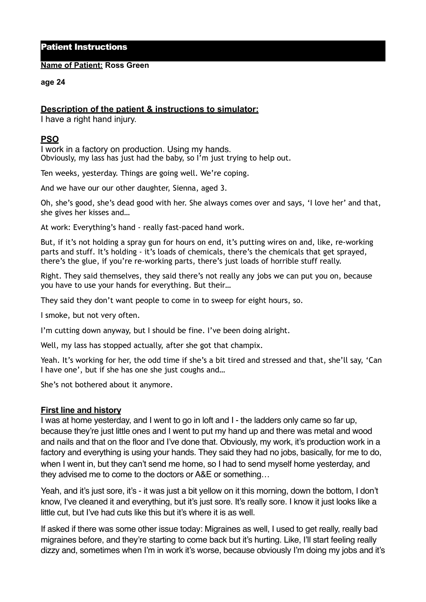# Patient Instructions

#### **Name of Patient: Ross Green**

#### **age 24**

# **Description of the patient & instructions to simulator:**

I have a right hand injury.

### **PSO**

I work in a factory on production. Using my hands. Obviously, my lass has just had the baby, so I'm just trying to help out.

Ten weeks, yesterday. Things are going well. We're coping.

And we have our our other daughter, Sienna, aged 3.

Oh, she's good, she's dead good with her. She always comes over and says, 'I love her' and that, she gives her kisses and…

At work: Everything's hand - really fast-paced hand work.

But, if it's not holding a spray gun for hours on end, it's putting wires on and, like, re-working parts and stuff. It's holding - it's loads of chemicals, there's the chemicals that get sprayed, there's the glue, if you're re-working parts, there's just loads of horrible stuff really.

Right. They said themselves, they said there's not really any jobs we can put you on, because you have to use your hands for everything. But their…

They said they don't want people to come in to sweep for eight hours, so.

I smoke, but not very often.

I'm cutting down anyway, but I should be fine. I've been doing alright.

Well, my lass has stopped actually, after she got that champix.

Yeah. It's working for her, the odd time if she's a bit tired and stressed and that, she'll say, 'Can I have one', but if she has one she just coughs and…

She's not bothered about it anymore.

### **First line and history**

I was at home yesterday, and I went to go in loft and I - the ladders only came so far up, because they're just little ones and I went to put my hand up and there was metal and wood and nails and that on the floor and I've done that. Obviously, my work, it's production work in a factory and everything is using your hands. They said they had no jobs, basically, for me to do, when I went in, but they can't send me home, so I had to send myself home yesterday, and they advised me to come to the doctors or A&E or something…

Yeah, and it's just sore, it's - it was just a bit yellow on it this morning, down the bottom, I don't know, I've cleaned it and everything, but it's just sore. It's really sore. I know it just looks like a little cut, but I've had cuts like this but it's where it is as well.

If asked if there was some other issue today: Migraines as well, I used to get really, really bad migraines before, and they're starting to come back but it's hurting. Like, I'll start feeling really dizzy and, sometimes when I'm in work it's worse, because obviously I'm doing my jobs and it's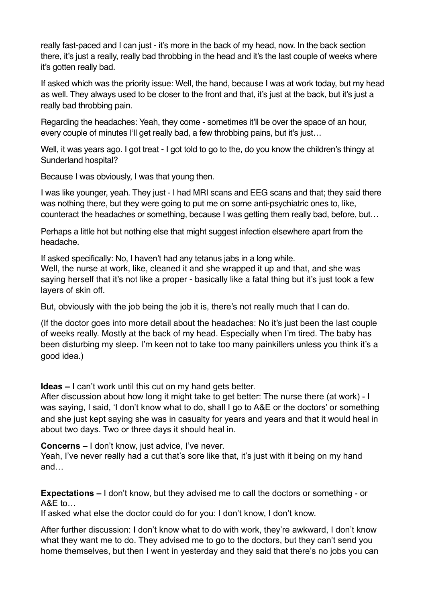really fast-paced and I can just - it's more in the back of my head, now. In the back section there, it's just a really, really bad throbbing in the head and it's the last couple of weeks where it's gotten really bad.

If asked which was the priority issue: Well, the hand, because I was at work today, but my head as well. They always used to be closer to the front and that, it's just at the back, but it's just a really bad throbbing pain.

Regarding the headaches: Yeah, they come - sometimes it'll be over the space of an hour, every couple of minutes I'll get really bad, a few throbbing pains, but it's just...

Well, it was years ago. I got treat - I got told to go to the, do you know the children's thingy at Sunderland hospital?

Because I was obviously, I was that young then.

I was like younger, yeah. They just - I had MRI scans and EEG scans and that; they said there was nothing there, but they were going to put me on some anti-psychiatric ones to, like, counteract the headaches or something, because I was getting them really bad, before, but…

Perhaps a little hot but nothing else that might suggest infection elsewhere apart from the headache.

If asked specifically: No, I haven't had any tetanus jabs in a long while.

Well, the nurse at work, like, cleaned it and she wrapped it up and that, and she was saying herself that it's not like a proper - basically like a fatal thing but it's just took a few layers of skin off.

But, obviously with the job being the job it is, there's not really much that I can do.

(If the doctor goes into more detail about the headaches: No it's just been the last couple of weeks really. Mostly at the back of my head. Especially when I'm tired. The baby has been disturbing my sleep. I'm keen not to take too many painkillers unless you think it's a good idea.)

**Ideas –** I can't work until this cut on my hand gets better.

After discussion about how long it might take to get better: The nurse there (at work) - I was saying, I said, 'I don't know what to do, shall I go to A&E or the doctors' or something and she just kept saying she was in casualty for years and years and that it would heal in about two days. Two or three days it should heal in.

**Concerns –** I don't know, just advice, I've never.

Yeah, I've never really had a cut that's sore like that, it's just with it being on my hand and…

**Expectations –** I don't know, but they advised me to call the doctors or something - or A&E to…

If asked what else the doctor could do for you: I don't know, I don't know.

After further discussion: I don't know what to do with work, they're awkward, I don't know what they want me to do. They advised me to go to the doctors, but they can't send you home themselves, but then I went in yesterday and they said that there's no jobs you can